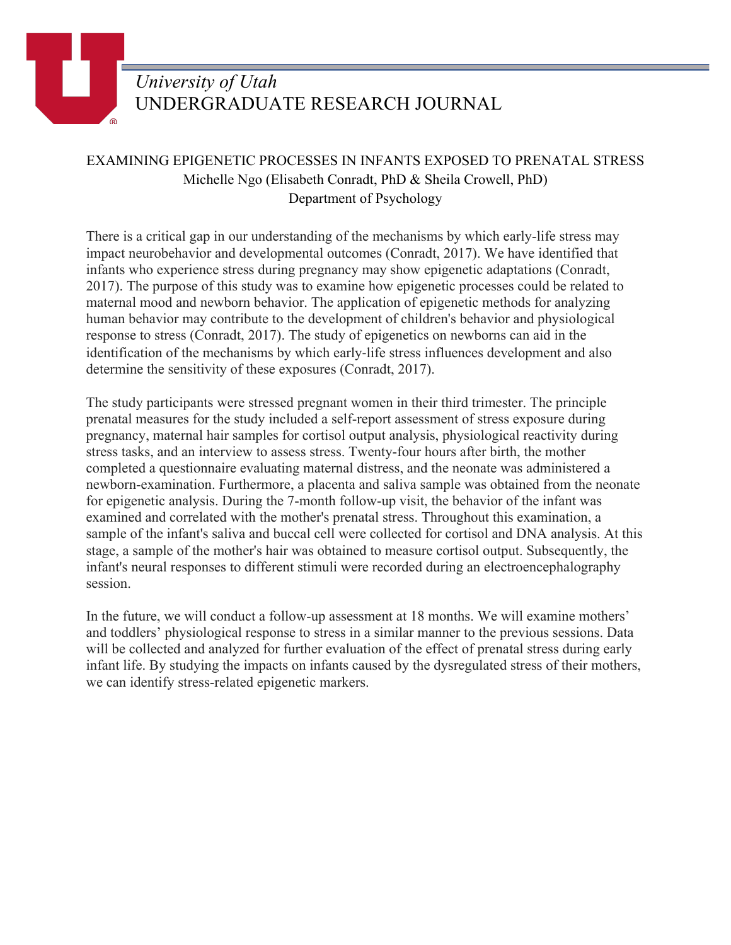

## EXAMINING EPIGENETIC PROCESSES IN INFANTS EXPOSED TO PRENATAL STRESS Michelle Ngo (Elisabeth Conradt, PhD & Sheila Crowell, PhD) Department of Psychology

There is a critical gap in our understanding of the mechanisms by which early-life stress may impact neurobehavior and developmental outcomes (Conradt, 2017). We have identified that infants who experience stress during pregnancy may show epigenetic adaptations (Conradt, 2017). The purpose of this study was to examine how epigenetic processes could be related to maternal mood and newborn behavior. The application of epigenetic methods for analyzing human behavior may contribute to the development of children's behavior and physiological response to stress (Conradt, 2017). The study of epigenetics on newborns can aid in the identification of the mechanisms by which early-life stress influences development and also determine the sensitivity of these exposures (Conradt, 2017).

The study participants were stressed pregnant women in their third trimester. The principle prenatal measures for the study included a self-report assessment of stress exposure during pregnancy, maternal hair samples for cortisol output analysis, physiological reactivity during stress tasks, and an interview to assess stress. Twenty-four hours after birth, the mother completed a questionnaire evaluating maternal distress, and the neonate was administered a newborn-examination. Furthermore, a placenta and saliva sample was obtained from the neonate for epigenetic analysis. During the 7-month follow-up visit, the behavior of the infant was examined and correlated with the mother's prenatal stress. Throughout this examination, a sample of the infant's saliva and buccal cell were collected for cortisol and DNA analysis. At this stage, a sample of the mother's hair was obtained to measure cortisol output. Subsequently, the infant's neural responses to different stimuli were recorded during an electroencephalography session.

In the future, we will conduct a follow-up assessment at 18 months. We will examine mothers' and toddlers' physiological response to stress in a similar manner to the previous sessions. Data will be collected and analyzed for further evaluation of the effect of prenatal stress during early infant life. By studying the impacts on infants caused by the dysregulated stress of their mothers, we can identify stress-related epigenetic markers.